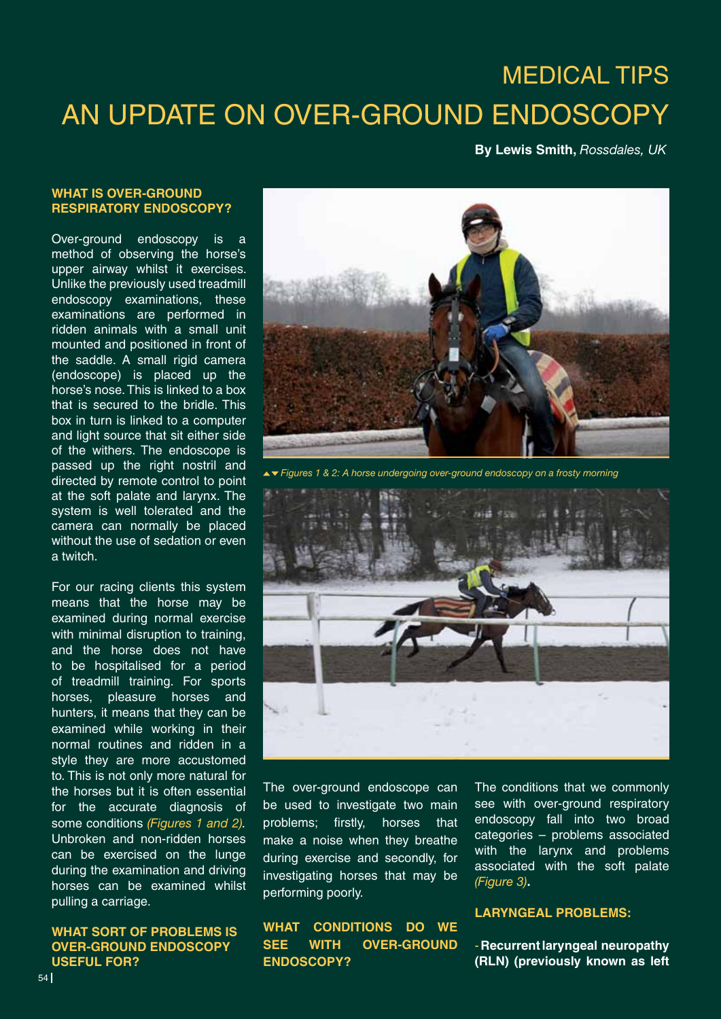# MEDICAL tips AN UPDATE ON OVER-GROUND ENDOSCOPY

# **By Lewis Smith,** *Rossdales, UK*

## **WHAT IS OVER-GROUND RESPIRATORY ENDOSCOPY?**

Over-ground endoscopy is a method of observing the horse's upper airway whilst it exercises. Unlike the previously used treadmill endoscopy examinations, these examinations are performed in ridden animals with a small unit mounted and positioned in front of the saddle. A small rigid camera (endoscope) is placed up the horse's nose. This is linked to a box that is secured to the bridle. This box in turn is linked to a computer and light source that sit either side of the withers. The endoscope is passed up the right nostril and directed by remote control to point at the soft palate and larynx. The system is well tolerated and the camera can normally be placed without the use of sedation or even a twitch.

For our racing clients this system means that the horse may be examined during normal exercise with minimal disruption to training, and the horse does not have to be hospitalised for a period of treadmill training. For sports horses, pleasure horses and hunters, it means that they can be examined while working in their normal routines and ridden in a style they are more accustomed to. This is not only more natural for the horses but it is often essential for the accurate diagnosis of some conditions *(Figures 1 and 2).*  Unbroken and non-ridden horses can be exercised on the lunge during the examination and driving horses can be examined whilst pulling a carriage.

# **WHAT SORT OF PROBLEMS IS OVER-GROUND ENDOSCOPY USEFUL FOR?**



*Figures 1 & 2: A horse undergoing over-ground endoscopy on a frosty morning*



The over-ground endoscope can be used to investigate two main problems; firstly, horses that make a noise when they breathe during exercise and secondly, for investigating horses that may be performing poorly.

# **WHAT CONDITIONS DO WE SEE WITH OVER-GROUND ENDOSCOPY?**

The conditions that we commonly see with over-ground respiratory endoscopy fall into two broad categories – problems associated with the larynx and problems associated with the soft palate *(Figure 3)***.**

#### **LARYNGEAL PROBLEMS:**

- **Recurrent laryngeal neuropathy (RLN) (previously known as left**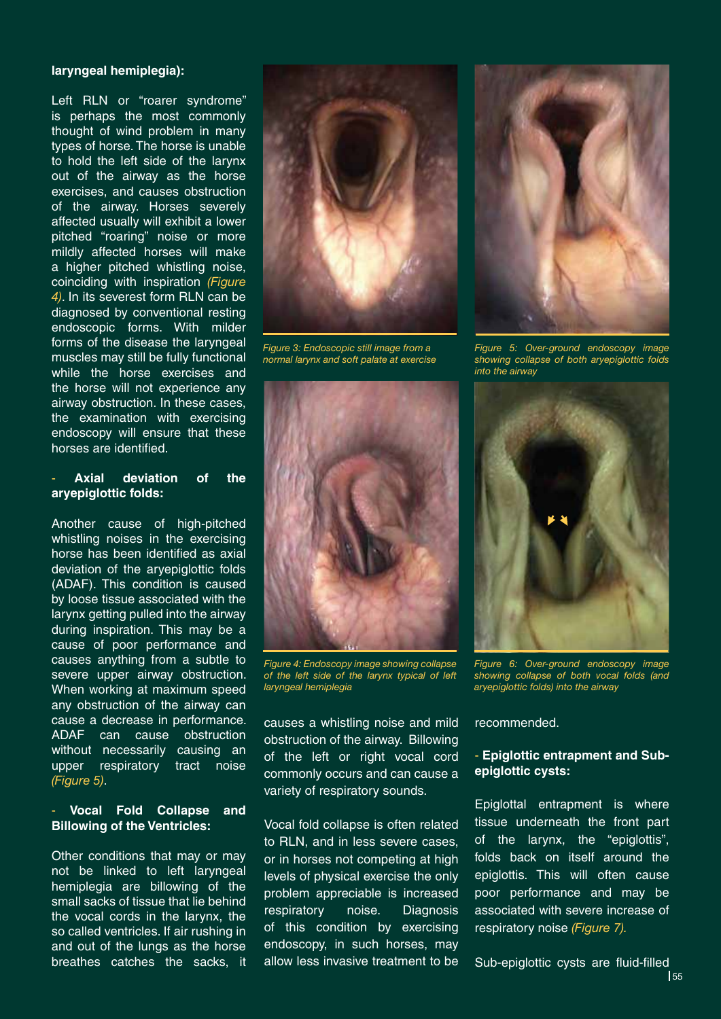### **laryngeal hemiplegia):**

Left RLN or "roarer syndrome" is perhaps the most commonly thought of wind problem in many types of horse. The horse is unable to hold the left side of the larynx out of the airway as the horse exercises, and causes obstruction of the airway. Horses severely affected usually will exhibit a lower pitched "roaring" noise or more mildly affected horses will make a higher pitched whistling noise, coinciding with inspiration *(Figure 4)*. In its severest form RLN can be diagnosed by conventional resting endoscopic forms. With milder forms of the disease the laryngeal muscles may still be fully functional while the horse exercises and the horse will not experience any airway obstruction. In these cases, the examination with exercising endoscopy will ensure that these horses are identified.

# Axial deviation of the **aryepiglottic folds:**

Another cause of high-pitched whistling noises in the exercising horse has been identified as axial deviation of the aryepiglottic folds (ADAF). This condition is caused by loose tissue associated with the larynx getting pulled into the airway during inspiration. This may be a cause of poor performance and causes anything from a subtle to severe upper airway obstruction. When working at maximum speed any obstruction of the airway can cause a decrease in performance. ADAF can cause obstruction without necessarily causing an upper respiratory tract noise *(Figure 5)*.

# - **Vocal Fold Collapse and Billowing of the Ventricles:**

Other conditions that may or may not be linked to left laryngeal hemiplegia are billowing of the small sacks of tissue that lie behind the vocal cords in the larynx, the so called ventricles. If air rushing in and out of the lungs as the horse breathes catches the sacks, it



*Figure 3: Endoscopic still image from a normal larynx and soft palate at exercise*



*Figure 4: Endoscopy image showing collapse of the left side of the larynx typical of left laryngeal hemiplegia* 

causes a whistling noise and mild obstruction of the airway. Billowing of the left or right vocal cord commonly occurs and can cause a variety of respiratory sounds.

Vocal fold collapse is often related to RLN, and in less severe cases, or in horses not competing at high levels of physical exercise the only problem appreciable is increased respiratory noise. Diagnosis of this condition by exercising endoscopy, in such horses, may allow less invasive treatment to be



*Figure 5: Over-ground endoscopy image showing collapse of both aryepiglottic folds into the airway*



*Figure 6: Over-ground endoscopy image showing collapse of both vocal folds (and aryepiglottic folds) into the airway*

recommended.

# - **Epiglottic entrapment and Subepiglottic cysts:**

Epiglottal entrapment is where tissue underneath the front part of the larynx, the "epiglottis", folds back on itself around the epiglottis. This will often cause poor performance and may be associated with severe increase of respiratory noise *(Figure 7).* 

Sub-epiglottic cysts are fluid-filled 155